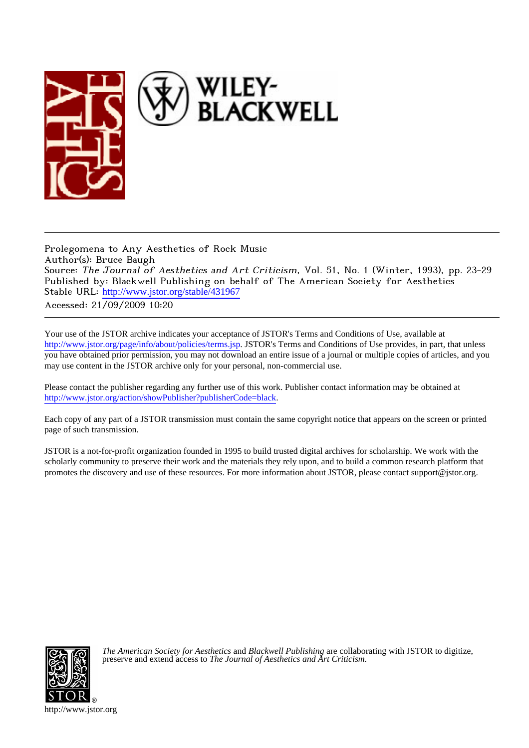

Prolegomena to Any Aesthetics of Rock Music Author(s): Bruce Baugh Source: The Journal of Aesthetics and Art Criticism, Vol. 51, No. 1 (Winter, 1993), pp. 23-29 Published by: Blackwell Publishing on behalf of The American Society for Aesthetics Stable URL: [http://www.jstor.org/stable/431967](https://www.jstor.org/stable/431967?origin=JSTOR-pdf) Accessed: 21/09/2009 10:20

Your use of the JSTOR archive indicates your acceptance of JSTOR's Terms and Conditions of Use, available at

[http://www.jstor.org/page/info/about/policies/terms.jsp](https://www.jstor.org/page/info/about/policies/terms.jsp). JSTOR's Terms and Conditions of Use provides, in part, that unless you have obtained prior permission, you may not download an entire issue of a journal or multiple copies of articles, and you may use content in the JSTOR archive only for your personal, non-commercial use.

Please contact the publisher regarding any further use of this work. Publisher contact information may be obtained at [http://www.jstor.org/action/showPublisher?publisherCode=black.](https://www.jstor.org/action/showPublisher?publisherCode=black)

Each copy of any part of a JSTOR transmission must contain the same copyright notice that appears on the screen or printed page of such transmission.

JSTOR is a not-for-profit organization founded in 1995 to build trusted digital archives for scholarship. We work with the scholarly community to preserve their work and the materials they rely upon, and to build a common research platform that promotes the discovery and use of these resources. For more information about JSTOR, please contact support@jstor.org.



*The American Society for Aesthetics* and *Blackwell Publishing* are collaborating with JSTOR to digitize, preserve and extend access to *The Journal of Aesthetics and Art Criticism.*

http://www.jstor.org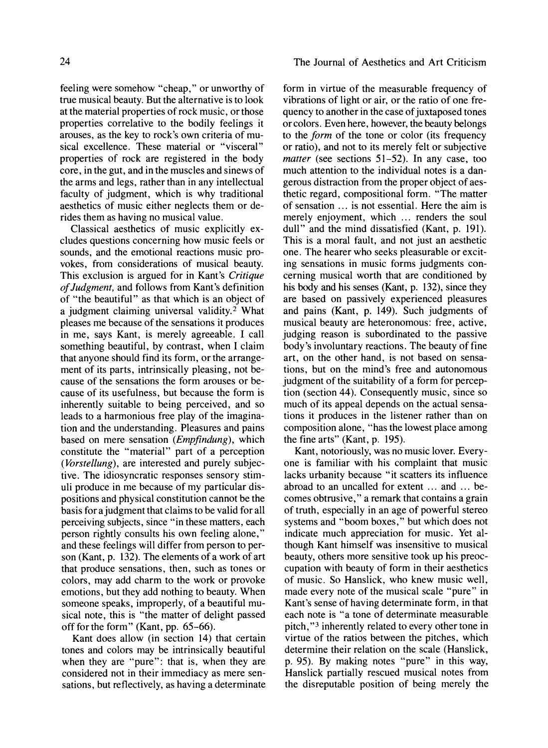## **Prolegomena to Any Aesthetics of Rock Music**

**Can there be an aesthetics of rock music? My question is not: Can traditional ways of interpreting and evaluating music be applied to rock music, for clearly they can, with very mixed results. My question is rather: Does rock music have standards of its own, which uniquely apply to it, or that apply to it in an especially appropriate way? My hunch is that rock music has such standards, that they are implicitly observed by knowledgeable performers and listeners, and that these standards reflect the distinctiveness of rock as a musical genre. Rock music involves a set of practices and a history quite different from those of the European concert hall tradition upon which traditional musical aesthetics have been based. That being so, any attempt to evaluate or understand rock music using traditional aesthetics of music is bound to result in a misunderstanding. It is not that rock music is more modern, since there are many modernist composers in the European tradition, their modernity being precisely a function of their relation to that tradition, which they aim to radicalize and subvert.' The difference between rock and "serious" music is that rock belongs to a different tradition, with different concerns and aims. In this paper, I will try to get at the nature of those differences, and in so doing, if only in a negative way, the route that an aesthetics of rock music might take. I will initially make the contrast between rock and European concert music as strong and sharp as possible, which will lead to some one-sided and simplistic distinctions between the two genres. Nevertheless, even when the distinctions are properly qualified and nuanced, I think the difference remains real and substantial.** 

**If I were to indicate this difference in a preliminary way, I would say that traditional musical aesthetics is concerned with form and com-**

**position, whereas rock is concerned with the matter of music. Even this way of putting things is misleading, since the form/matter distinction is itself part of traditional aesthetics. But leaving aside the inappropriateness of the term, by "matter" I mean the way music feels to the listener, or the way that it affects the listener's body.** 

**One important material aspect of rock music is the way an individual tone sounds when played or sung in a certain way. Making a tone sound a certain way is a large part of the art of rock music performance, something rock inherits from the performance-oriented traditions from which it springs, particularly the blues. This is obvious in the case of the voice, which is why in rock, as in blues and most jazz, it is the singer and not the song which is important. But it also true in the case of the electric guitar, an instrument which takes on the expressive function of the voice in much of rock music. The emphasis on the very sound of a musical note as a vehicle of musical expression was summed up in guitarist Eric Clapton's statement that his ideal is to play a single note with such feeling and intensity that it would cause listeners to weep (and not, cynics please note, because the music is painfully loud, but because it is painfully beautiful.)** 

**The materiality of tone, or more accurately, of the performance of tones, is only one important material element of rock music. Two others are loudness and rhythm. Both of these are also more properly felt by the body than judged by the mind, at least as far as rock music is concerned, and the proper use of both is crucial to the success of a rock music performance, a success which is judged by the feelings the music produces in the listener's body. The fact that rock music aims at arousing and expressing feeling has often been held against it, as if arousing**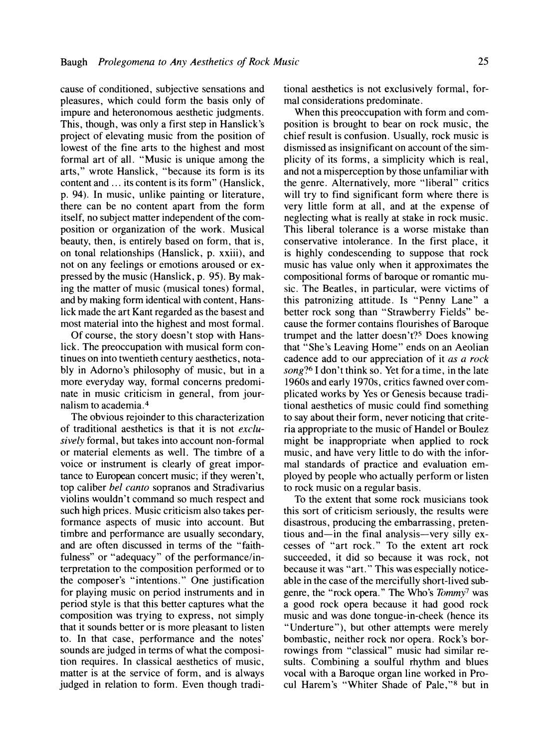**feeling were somehow "cheap," or unworthy of true musical beauty. But the alternative is to look at the material properties of rock music, or those properties correlative to the bodily feelings it arouses, as the key to rock's own criteria of musical excellence. These material or "visceral" properties of rock are registered in the body core, in the gut, and in the muscles and sinews of the arms and legs, rather than in any intellectual faculty of judgment, which is why traditional aesthetics of music either neglects them or derides them as having no musical value.** 

**Classical aesthetics of music explicitly excludes questions concerning how music feels or sounds, and the emotional reactions music provokes, from considerations of musical beauty. This exclusion is argued for in Kant's Critique of Judgment, and follows from Kant's definition of "the beautiful" as that which is an object of a judgment claiming universal validity.2 What pleases me because of the sensations it produces in me, says Kant, is merely agreeable. I call something beautiful, by contrast, when I claim that anyone should find its form, or the arrangement of its parts, intrinsically pleasing, not because of the sensations the form arouses or because of its usefulness, but because the form is inherently suitable to being perceived, and so leads to a harmonious free play of the imagination and the understanding. Pleasures and pains based on mere sensation (Empfindung), which constitute the "material" part of a perception (Vorstellung), are interested and purely subjective. The idiosyncratic responses sensory stimuli produce in me because of my particular dispositions and physical constitution cannot be the basis for a judgment that claims to be valid for all perceiving subjects, since "in these matters, each person rightly consults his own feeling alone," and these feelings will differ from person to person (Kant, p. 132). The elements of a work of art that produce sensations, then, such as tones or colors, may add charm to the work or provoke emotions, but they add nothing to beauty. When someone speaks, improperly, of a beautiful musical note, this is "the matter of delight passed off for the form" (Kant, pp. 65-66).** 

**Kant does allow (in section 14) that certain tones and colors may be intrinsically beautiful when they are "pure": that is, when they are considered not in their immediacy as mere sensations, but reflectively, as having a determinate** 

**form in virtue of the measurable frequency of vibrations of light or air, or the ratio of one frequency to another in the case of juxtaposed tones or colors. Even here, however, the beauty belongs to the form of the tone or color (its frequency or ratio), and not to its merely felt or subjective matter (see sections 51-52). In any case, too much attention to the individual notes is a dangerous distraction from the proper object of aesthetic regard, compositional form. "The matter of sensation ... is not essential. Here the aim is merely enjoyment, which ... renders the soul dull" and the mind dissatisfied (Kant, p. 191). This is a moral fault, and not just an aesthetic one. The hearer who seeks pleasurable or exciting sensations in music forms judgments concerning musical worth that are conditioned by his body and his senses (Kant, p. 132), since they are based on passively experienced pleasures and pains (Kant, p. 149). Such judgments of musical beauty are heteronomous: free, active, judging reason is subordinated to the passive body's involuntary reactions. The beauty of fine art, on the other hand, is not based on sensations, but on the mind's free and autonomous judgment of the suitability of a form for perception (section 44). Consequently music, since so much of its appeal depends on the actual sensations it produces in the listener rather than on composition alone, "has the lowest place among the fine arts" (Kant, p. 195).** 

**Kant, notoriously, was no music lover. Everyone is familiar with his complaint that music lacks urbanity because "it scatters its influence abroad to an uncalled for extent ... and ... becomes obtrusive," a remark that contains a grain of truth, especially in an age of powerful stereo systems and "boom boxes," but which does not indicate much appreciation for music. Yet although Kant himself was insensitive to musical beauty, others more sensitive took up his preoccupation with beauty of form in their aesthetics of music. So Hanslick, who knew music well, made every note of the musical scale "pure"' in Kant's sense of having determinate form, in that each note is "a tone of determinate measurable pitch,"3 inherently related to every other tone in virtue of the ratios between the pitches, which determine their relation on the scale (Hanslick, p. 95). By making notes "pure" in this way, Hanslick partially rescued musical notes from the disreputable position of being merely the**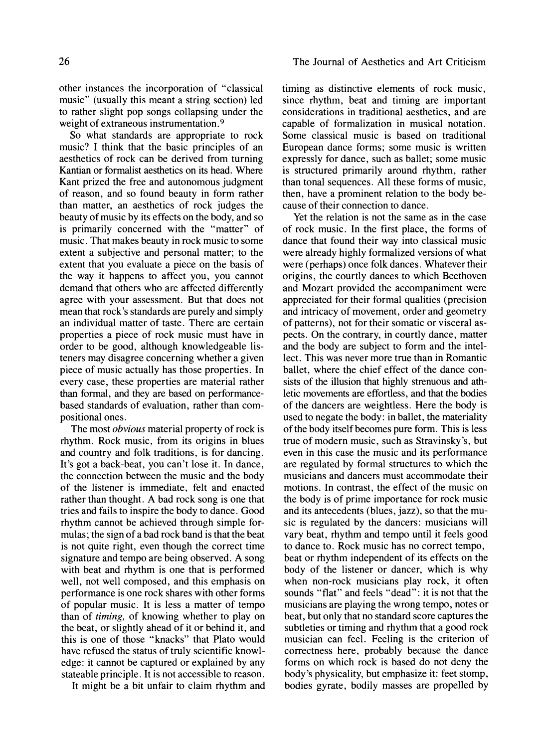**cause of conditioned, subjective sensations and pleasures, which could form the basis only of impure and heteronomous aesthetic judgments. This, though, was only a first step in Hanslick's project of elevating music from the position of lowest of the fine arts to the highest and most formal art of all. "Music is unique among the arts," wrote Hanslick, "because its form is its content and ... its content is its form" (Hanslick, p. 94). In music, unlike painting or literature, there can be no content apart from the form itself, no subject matter independent of the composition or organization of the work. Musical beauty, then, is entirely based on form, that is, on tonal relationships (Hanslick, p. xxiii), and not on any feelings or emotions aroused or expressed by the music (Hanslick, p. 95). By making the matter of music (musical tones) formal, and by making form identical with content, Hanslick made the art Kant regarded as the basest and most material into the highest and most formal.** 

**Of course, the story doesn't stop with Hanslick. The preoccupation with musical form continues on into twentieth century aesthetics, notably in Adorno's philosophy of music, but in a more everyday way, formal concerns predominate in music criticism in general, from journalism to academia.4** 

**The obvious rejoinder to this characterization of traditional aesthetics is that it is not exclusively formal, but takes into account non-formal or material elements as well. The timbre of a voice or instrument is clearly of great importance to European concert music; if they weren't, top caliber bel canto sopranos and Stradivarius violins wouldn't command so much respect and such high prices. Music criticism also takes performance aspects of music into account. But timbre and performance are usually secondary, and are often discussed in terms of the "faithfulness" or "adequacy" of the performance/interpretation to the composition performed or to the composer's "intentions." One justification for playing music on period instruments and in period style is that this better captures what the composition was trying to express, not simply that it sounds better or is more pleasant to listen to. In that case, performance and the notes' sounds are judged in terms of what the composition requires. In classical aesthetics of music, matter is at the service of form, and is always judged in relation to form. Even though tradi-** **tional aesthetics is not exclusively formal, formal considerations predominate.** 

**When this preoccupation with form and composition is brought to bear on rock music, the chief result is confusion. Usually, rock music is dismissed as insignificant on account of the simplicity of its forms, a simplicity which is real, and not a misperception by those unfamiliar with the genre. Alternatively, more "liberal" critics will try to find significant form where there is very little form at all, and at the expense of neglecting what is really at stake in rock music. This liberal tolerance is a worse mistake than conservative intolerance. In the first place, it is highly condescending to suppose that rock music has value only when it approximates the compositional forms of baroque or romantic music. The Beatles, in particular, were victims of this patronizing attitude. Is "Penny Lane" a better rock song than "Strawberry Fields" because the former contains flourishes of Baroque trumpet and the latter doesn't?5 Does knowing that "She's Leaving Home" ends on an Aeolian cadence add to our appreciation of it as a rock song?6 I don't think so. Yet for a time, in the late 1960s and early 1970s, critics fawned over complicated works by Yes or Genesis because traditional aesthetics of music could find something to say about their form, never noticing that criteria appropriate to the music of Handel or Boulez might be inappropriate when applied to rock music, and have very little to do with the informal standards of practice and evaluation employed by people who actually perform or listen to rock music on a regular basis.** 

**To the extent that some rock musicians took this sort of criticism seriously, the results were disastrous, producing the embarrassing, preten**tious and—in the final analysis—very silly ex**cesses of "art rock." To the extent art rock succeeded, it did so because it was rock, not because it was "art." This was especially noticeable in the case of the mercifully short-lived subgenre, the "rock opera." The Who's Tommy7 was a good rock opera because it had good rock music and was done tongue-in-cheek (hence its "Underture"), but other attempts were merely bombastic, neither rock nor opera. Rock's borrowings from "classical" music had similar results. Combining a soulful rhythm and blues vocal with a Baroque organ line worked in Procul Harem's "Whiter Shade of Pale,"8 but in**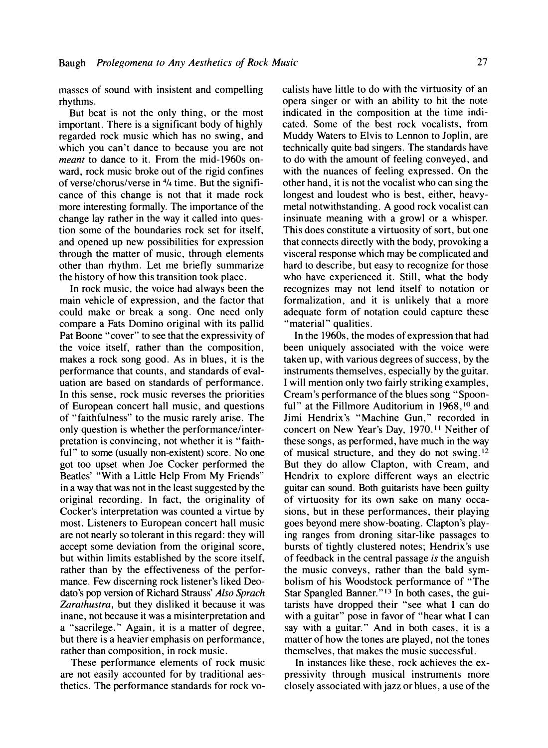**other instances the incorporation of "classical music" (usually this meant a string section) led to rather slight pop songs collapsing under the weight of extraneous instrumentation.9** 

**So what standards are appropriate to rock music? I think that the basic principles of an aesthetics of rock can be derived from turning Kantian or formalist aesthetics on its head. Where Kant prized the free and autonomous judgment of reason, and so found beauty in form rather than matter, an aesthetics of rock judges the beauty of music by its effects on the body, and so is primarily concerned with the "matter" of music. That makes beauty in rock music to some extent a subjective and personal matter; to the extent that you evaluate a piece on the basis of the way it happens to affect you, you cannot demand that others who are affected differently agree with your assessment. But that does not mean that rock's standards are purely and simply an individual matter of taste. There are certain properties a piece of rock music must have in order to be good, although knowledgeable listeners may disagree concerning whether a given piece of music actually has those properties. In every case, these properties are material rather than formal, and they are based on performancebased standards of evaluation, rather than compositional ones.** 

**The most obvious material property of rock is rhythm. Rock music, from its origins in blues and country and folk traditions, is for dancing. It's got a back-beat, you can't lose it. In dance, the connection between the music and the body of the listener is immediate, felt and enacted rather than thought. A bad rock song is one that tries and fails to inspire the body to dance. Good rhythm cannot be achieved through simple formulas; the sign of a bad rock band is that the beat is not quite right, even though the correct time signature and tempo are being observed. A song with beat and rhythm is one that is performed well, not well composed, and this emphasis on performance is one rock shares with other forms of popular music. It is less a matter of tempo than of timing, of knowing whether to play on the beat, or slightly ahead of it or behind it, and this is one of those "knacks" that Plato would have refused the status of truly scientific knowledge: it cannot be captured or explained by any stateable principle. It is not accessible to reason.** 

**It might be a bit unfair to claim rhythm and** 

**timing as distinctive elements of rock music, since rhythm, beat and timing are important considerations in traditional aesthetics, and are capable of formalization in musical notation. Some classical music is based on traditional European dance forms; some music is written expressly for dance, such as ballet; some music is structured primarily around rhythm, rather than tonal sequences. All these forms of music, then, have a prominent relation to the body because of their connection to dance.** 

**Yet the relation is not the same as in the case of rock music. In the first place, the forms of dance that found their way into classical music were already highly formalized versions of what were (perhaps) once folk dances. Whatever their origins, the courtly dances to which Beethoven and Mozart provided the accompaniment were appreciated for their formal qualities (precision and intricacy of movement, order and geometry of patterns), not for their somatic or visceral aspects. On the contrary, in courtly dance, matter and the body are subject to form and the intellect. This was never more true than in Romantic ballet, where the chief effect of the dance consists of the illusion that highly strenuous and athletic movements are effortless, and that the bodies of the dancers are weightless. Here the body is used to negate the body: in ballet, the materiality of the body itself becomes pure form. This is less true of modern music, such as Stravinsky's, but even in this case the music and its performance are regulated by formal structures to which the musicians and dancers must accommodate their motions. In contrast, the effect of the music on the body is of prime importance for rock music and its antecedents (blues, jazz), so that the music is regulated by the dancers: musicians will vary beat, rhythm and tempo until it feels good to dance to. Rock music has no correct tempo, beat or rhythm independent of its effects on the body of the listener or dancer, which is why when non-rock musicians play rock, it often sounds "flat" and feels "dead": it is not that the musicians are playing the wrong tempo, notes or beat, but only that no standard score captures the subtleties or timing and rhythm that a good rock musician can feel. Feeling is the criterion of correctness here, probably because the dance forms on which rock is based do not deny the body's physicality, but emphasize it: feet stomp, bodies gyrate, bodily masses are propelled by**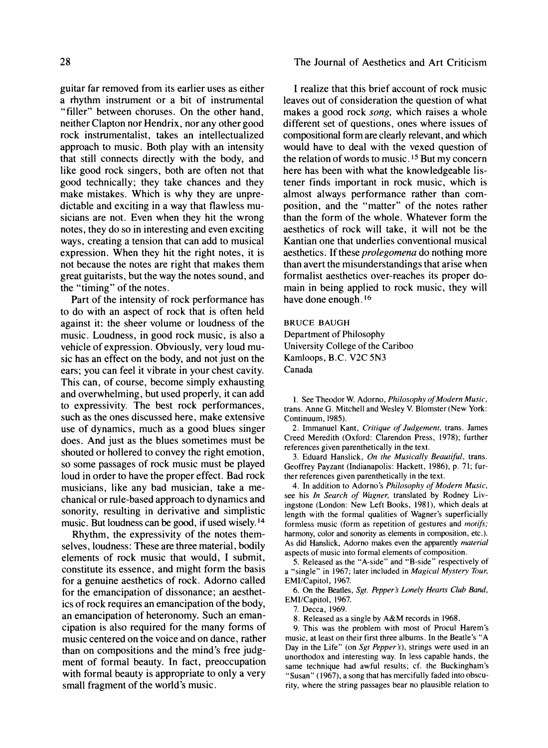**masses of sound with insistent and compelling rhythms.** 

**But beat is not the only thing, or the most important. There is a significant body of highly regarded rock music which has no swing, and which you can't dance to because you are not meant to dance to it. From the mid-1960s onward, rock music broke out of the rigid confines of verse/chorus/verse in 4/4 time. But the significance of this change is not that it made rock more interesting formally. The importance of the change lay rather in the way it called into question some of the boundaries rock set for itself, and opened up new possibilities for expression through the matter of music, through elements other than rhythm. Let me briefly summarize the history of how this transition took place.** 

**In rock music, the voice had always been the main vehicle of expression, and the factor that could make or break a song. One need only compare a Fats Domino original with its pallid Pat Boone "cover" to see that the expressivity of the voice itself, rather than the composition, makes a rock song good. As in blues, it is the performance that counts, and standards of evaluation are based on standards of performance. In this sense, rock music reverses the priorities of European concert hall music, and questions of "faithfulness" to the music rarely arise. The only question is whether the performance/interpretation is convincing, not whether it is "faithful" to some (usually non-existent) score. No one got too upset when Joe Cocker performed the Beatles' "With a Little Help From My Friends" in a way that was not in the least suggested by the original recording. In fact, the originality of Cocker's interpretation was counted a virtue by most. Listeners to European concert hall music are not nearly so tolerant in this regard: they will accept some deviation from the original score, but within limits established by the score itself, rather than by the effectiveness of the performance. Few discerning rock listener's liked Deodato's pop version of Richard Strauss' Also Sprach Zarathustra, but they disliked it because it was inane, not because it was a misinterpretation and a "sacrilege." Again, it is a matter of degree, but there is a heavier emphasis on performance, rather than composition, in rock music.** 

**These performance elements of rock music are not easily accounted for by traditional aesthetics. The performance standards for rock vo-** **calists have little to do with the virtuosity of an opera singer or with an ability to hit the note indicated in the composition at the time indicated. Some of the best rock vocalists, from Muddy Waters to Elvis to Lennon to Joplin, are technically quite bad singers. The standards have to do with the amount of feeling conveyed, and with the nuances of feeling expressed. On the other hand, it is not the vocalist who can sing the longest and loudest who is best, either, heavymetal notwithstanding. A good rock vocalist can insinuate meaning with a growl or a whisper. This does constitute a virtuosity of sort, but one that connects directly with the body, provoking a visceral response which may be complicated and hard to describe, but easy to recognize for those who have experienced it. Still, what the body recognizes may not lend itself to notation or formalization, and it is unlikely that a more adequate form of notation could capture these "material" qualities.** 

**In the 1960s, the modes of expression that had been uniquely associated with the voice were taken up, with various degrees of success, by the instruments themselves, especially by the guitar. I will mention only two fairly striking examples, Cream's performance of the blues song "Spoonful" at the Fillmore Auditorium in 1968,10 and Jimi Hendrix's "Machine Gun," recorded in concert on New Year's Day, 1970.11 Neither of these songs, as performed, have much in the way of musical structure, and they do not swing.'2 But they do allow Clapton, with Cream, and Hendrix to explore different ways an electric guitar can sound. Both guitarists have been guilty of virtuosity for its own sake on many occasions, but in these performances, their playing goes beyond mere show-boating. Clapton's playing ranges from droning sitar-like passages to bursts of tightly clustered notes; Hendrix's use of feedback in the central passage is the anguish the music conveys, rather than the bald symbolism of his Woodstock performance of "The Star Spangled Banner."13 In both cases, the guitarists have dropped their "see what I can do with a guitar" pose in favor of "hear what I can say with a guitar." And in both cases, it is a matter of how the tones are played, not the tones themselves, that makes the music successful.** 

**In instances like these, rock achieves the expressivity through musical instruments more closely associated with jazz or blues, a use of the**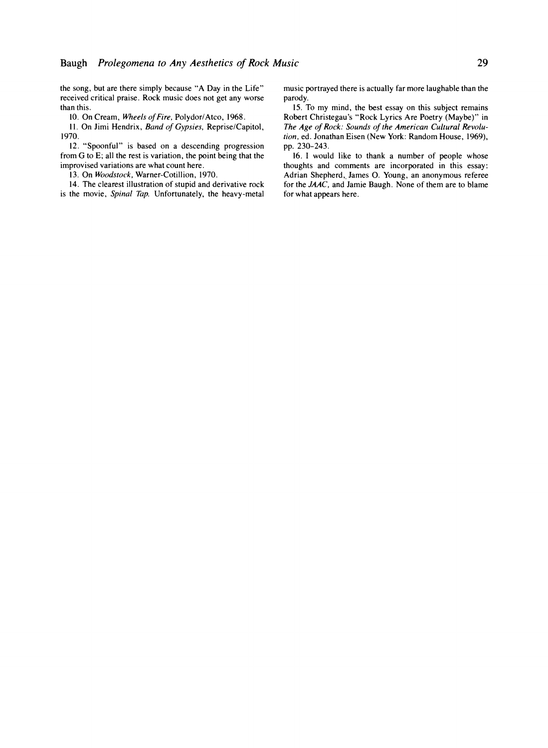**guitar far removed from its earlier uses as either a rhythm instrument or a bit of instrumental "filler" between choruses. On the other hand, neither Clapton nor Hendrix, nor any other good rock instrumentalist, takes an intellectualized approach to music. Both play with an intensity that still connects directly with the body, and like good rock singers, both are often not that good technically; they take chances and they make mistakes. Which is why they are unpredictable and exciting in a way that flawless musicians are not. Even when they hit the wrong notes, they do so in interesting and even exciting ways, creating a tension that can add to musical expression. When they hit the right notes, it is not because the notes are right that makes them great guitarists, but the way the notes sound, and the "timing" of the notes.** 

**Part of the intensity of rock performance has to do with an aspect of rock that is often held against it: the sheer volume or loudness of the music. Loudness, in good rock music, is also a vehicle of expression. Obviously, very loud music has an effect on the body, and not just on the ears; you can feel it vibrate in your chest cavity. This can, of course, become simply exhausting and overwhelming, but used properly, it can add to expressivity. The best rock performances, such as the ones discussed here, make extensive use of dynamics, much as a good blues singer does. And just as the blues sometimes must be shouted or hollered to convey the right emotion, so some passages of rock music must be played loud in order to have the proper effect. Bad rock musicians, like any bad musician, take a mechanical or rule-based approach to dynamics and sonority, resulting in derivative and simplistic music. But loudness can be good, if used wisely.14** 

**Rhythm, the expressivity of the notes themselves, loudness: These are three material, bodily elements of rock music that would, I submit, constitute its essence, and might form the basis for a genuine aesthetics of rock. Adorno called for the emancipation of dissonance; an aesthetics of rock requires an emancipation of the body, an emancipation of heteronomy. Such an emancipation is also required for the many forms of music centered on the voice and on dance, rather than on compositions and the mind's free judgment of formal beauty. In fact, preoccupation with formal beauty is appropriate to only a very small fragment of the world's music.** 

## **The Journal of Aesthetics and Art Criticism**

**I realize that this brief account of rock music leaves out of consideration the question of what makes a good rock song, which raises a whole different set of questions, ones where issues of compositional form are clearly relevant, and which would have to deal with the vexed question of the relation of words to music.'15 But my concern here has been with what the knowledgeable listener finds important in rock music, which is almost always performance rather than composition, and the "matter" of the notes rather than the form of the whole. Whatever form the aesthetics of rock will take, it will not be the Kantian one that underlies conventional musical**  aesthetics. If these *prolegomena* do nothing more **than avert the misunderstandings that arise when formalist aesthetics over-reaches its proper domain in being applied to rock music, they will have done enough.'16** 

**BRUCE BAUGH** 

**Department of Philosophy University College of the Cariboo Kamloops, B.C. V2C 5N3 Canada** 

**1. See TheodorW. Adorno, Philosophy of Modern Music, trans. Anne G. Mitchell and Wesley V. Blomster (New York: Continuum, 1985).** 

**2. Immanuel Kant, Critique of Judgement, trans. James Creed Meredith (Oxford: Clarendon Press, 1978); further references given parenthetically in the text.** 

**3. Eduard Hanslick, On the Musically Beautiful, trans. Geoffrey Payzant (Indianapolis: Hackett, 1986), p. 71; further references given parenthetically in the text.** 

**4. In addition to Adorno's Philosophy of Modern Music, see his In Search of Wagner, translated by Rodney Livingstone (London: New Left Books, 1981), which deals at length with the formal qualities of Wagner's superficially formless music (form as repetition of gestures and motifs; harmony, color and sonority as elements in composition, etc.). As did Hanslick, Adorno makes even the apparently material aspects of music into formal elements of composition.** 

**5. Released as the "A-side" and "B-side" respectively of a "single" in 1967; later included in Magical Mystery Tour, EMI/Capitol, 1967.** 

**6. On the Beatles, Sgt. Pepper s Lonely Hearts Club Band, EMI/Capitol, 1967.** 

**7. Decca, 1969.** 

**8. Released as a single by A&M records in 1968.** 

**9. This was the problem with most of Procul Harem's music, at least on their first three albums. In the Beatle's "A**  Day in the Life" (on Sgt Pepper's), strings were used in an **unorthodox and interesting way. In less capable hands, the same technique had awful results; cf. the Buckingham's "Susan" (1967), a song that has mercifully faded into obscurity, where the string passages bear no plausible relation to**